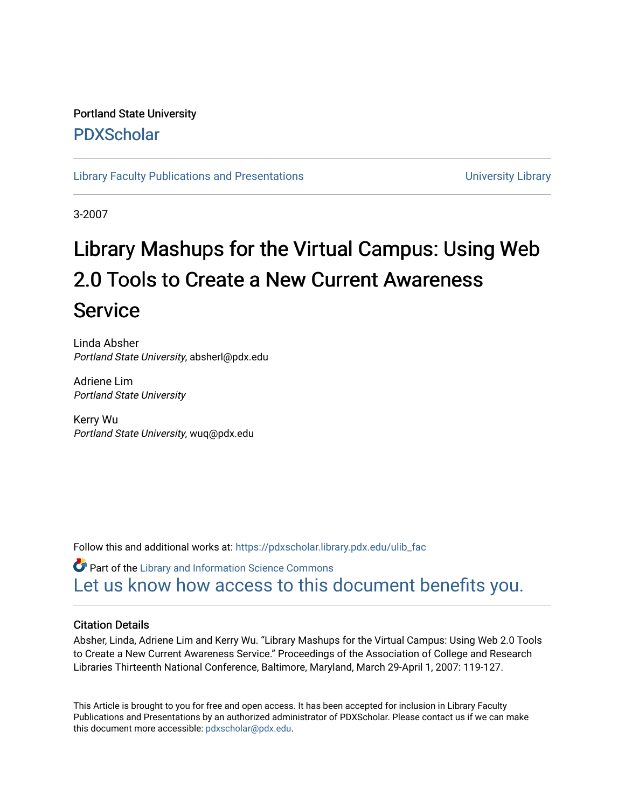# Portland State University [PDXScholar](https://pdxscholar.library.pdx.edu/)

[Library Faculty Publications and Presentations](https://pdxscholar.library.pdx.edu/ulib_fac) **Exercise 20 and Exercise 20 and Exercise** University Library

3-2007

# Library Mashups for the Virtual Campus: Using Web 2.0 Tools to Create a New Current Awareness Service

Linda Absher Portland State University, absherl@pdx.edu

Adriene Lim Portland State University

Kerry Wu Portland State University, wuq@pdx.edu

Follow this and additional works at: [https://pdxscholar.library.pdx.edu/ulib\\_fac](https://pdxscholar.library.pdx.edu/ulib_fac?utm_source=pdxscholar.library.pdx.edu%2Fulib_fac%2F266&utm_medium=PDF&utm_campaign=PDFCoverPages) 

**Part of the Library and Information Science Commons** [Let us know how access to this document benefits you.](http://library.pdx.edu/services/pdxscholar-services/pdxscholar-feedback/?ref=https://pdxscholar.library.pdx.edu/ulib_fac/266) 

# Citation Details

Absher, Linda, Adriene Lim and Kerry Wu. "Library Mashups for the Virtual Campus: Using Web 2.0 Tools to Create a New Current Awareness Service." Proceedings of the Association of College and Research Libraries Thirteenth National Conference, Baltimore, Maryland, March 29-April 1, 2007: 119-127.

This Article is brought to you for free and open access. It has been accepted for inclusion in Library Faculty Publications and Presentations by an authorized administrator of PDXScholar. Please contact us if we can make this document more accessible: [pdxscholar@pdx.edu.](mailto:pdxscholar@pdx.edu)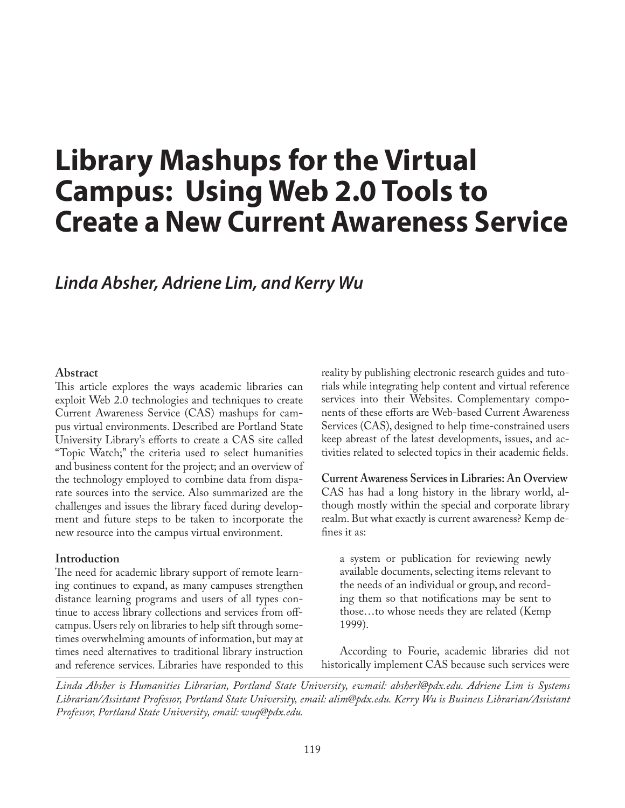# **Library Mashups for the Virtual Campus: Using Web 2.0 Tools to Create a New Current Awareness Service**

# *Linda Absher, Adriene Lim, and Kerry Wu*

## **Abstract**

This article explores the ways academic libraries can exploit Web 2.0 technologies and techniques to create Current Awareness Service (CAS) mashups for campus virtual environments. Described are Portland State University Library's efforts to create a CAS site called "Topic Watch;" the criteria used to select humanities and business content for the project; and an overview of the technology employed to combine data from disparate sources into the service. Also summarized are the challenges and issues the library faced during development and future steps to be taken to incorporate the new resource into the campus virtual environment.

# **Introduction**

The need for academic library support of remote learning continues to expand, as many campuses strengthen distance learning programs and users of all types continue to access library collections and services from offcampus. Users rely on libraries to help sift through sometimes overwhelming amounts of information, but may at times need alternatives to traditional library instruction and reference services. Libraries have responded to this reality by publishing electronic research guides and tutorials while integrating help content and virtual reference services into their Websites. Complementary components of these efforts are Web-based Current Awareness Services (CAS), designed to help time-constrained users keep abreast of the latest developments, issues, and activities related to selected topics in their academic fields.

**Current Awareness Services in Libraries: An Overview** CAS has had a long history in the library world, although mostly within the special and corporate library realm. But what exactly is current awareness? Kemp defines it as:

a system or publication for reviewing newly available documents, selecting items relevant to the needs of an individual or group, and recording them so that notifications may be sent to those…to whose needs they are related (Kemp 1999).

According to Fourie, academic libraries did not historically implement CAS because such services were

*Linda Absher is Humanities Librarian, Portland State University, ewmail: absherl@pdx.edu. Adriene Lim is Systems Librarian/Assistant Professor, Portland State University, email: alim@pdx.edu. Kerry Wu is Business Librarian/Assistant Professor, Portland State University, email: wuq@pdx.edu.*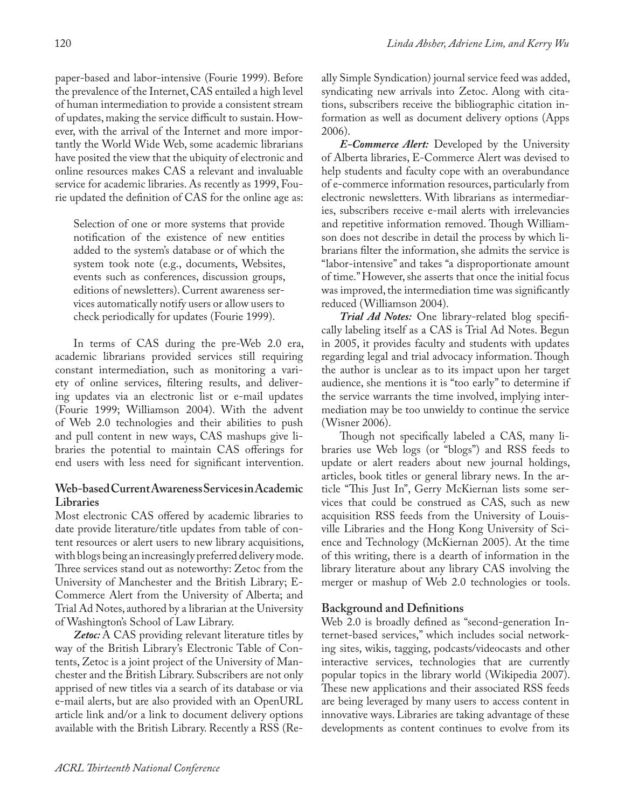paper-based and labor-intensive (Fourie 1999). Before the prevalence of the Internet, CAS entailed a high level of human intermediation to provide a consistent stream of updates, making the service difficult to sustain. However, with the arrival of the Internet and more importantly the World Wide Web, some academic librarians have posited the view that the ubiquity of electronic and online resources makes CAS a relevant and invaluable service for academic libraries. As recently as 1999, Fourie updated the definition of CAS for the online age as:

Selection of one or more systems that provide notification of the existence of new entities added to the system's database or of which the system took note (e.g., documents, Websites, events such as conferences, discussion groups, editions of newsletters). Current awareness services automatically notify users or allow users to check periodically for updates (Fourie 1999).

In terms of CAS during the pre-Web 2.0 era, academic librarians provided services still requiring constant intermediation, such as monitoring a variety of online services, filtering results, and delivering updates via an electronic list or e-mail updates (Fourie 1999; Williamson 2004). With the advent of Web 2.0 technologies and their abilities to push and pull content in new ways, CAS mashups give libraries the potential to maintain CAS offerings for end users with less need for significant intervention.

# **Web-based Current Awareness Services in Academic Libraries**

Most electronic CAS offered by academic libraries to date provide literature/title updates from table of content resources or alert users to new library acquisitions, with blogs being an increasingly preferred delivery mode. Three services stand out as noteworthy: Zetoc from the University of Manchester and the British Library; E-Commerce Alert from the University of Alberta; and Trial Ad Notes, authored by a librarian at the University of Washington's School of Law Library.

*Zetoc:* A CAS providing relevant literature titles by way of the British Library's Electronic Table of Contents, Zetoc is a joint project of the University of Manchester and the British Library. Subscribers are not only apprised of new titles via a search of its database or via e-mail alerts, but are also provided with an OpenURL article link and/or a link to document delivery options available with the British Library. Recently a RSS (Really Simple Syndication) journal service feed was added, syndicating new arrivals into Zetoc. Along with citations, subscribers receive the bibliographic citation information as well as document delivery options (Apps 2006).

*E-Commerce Alert:* Developed by the University of Alberta libraries, E-Commerce Alert was devised to help students and faculty cope with an overabundance of e-commerce information resources, particularly from electronic newsletters. With librarians as intermediaries, subscribers receive e-mail alerts with irrelevancies and repetitive information removed. Though Williamson does not describe in detail the process by which librarians filter the information, she admits the service is "labor-intensive" and takes "a disproportionate amount of time." However, she asserts that once the initial focus was improved, the intermediation time was significantly reduced (Williamson 2004).

*Trial Ad Notes:* One library-related blog specifically labeling itself as a CAS is Trial Ad Notes. Begun in 2005, it provides faculty and students with updates regarding legal and trial advocacy information. Though the author is unclear as to its impact upon her target audience, she mentions it is "too early" to determine if the service warrants the time involved, implying intermediation may be too unwieldy to continue the service (Wisner 2006).

Though not specifically labeled a CAS, many libraries use Web logs (or "blogs") and RSS feeds to update or alert readers about new journal holdings, articles, book titles or general library news. In the article "This Just In", Gerry McKiernan lists some services that could be construed as CAS, such as new acquisition RSS feeds from the University of Louisville Libraries and the Hong Kong University of Science and Technology (McKiernan 2005). At the time of this writing, there is a dearth of information in the library literature about any library CAS involving the merger or mashup of Web 2.0 technologies or tools.

# **Background and Definitions**

Web 2.0 is broadly defined as "second-generation Internet-based services," which includes social networking sites, wikis, tagging, podcasts/videocasts and other interactive services, technologies that are currently popular topics in the library world (Wikipedia 2007). These new applications and their associated RSS feeds are being leveraged by many users to access content in innovative ways. Libraries are taking advantage of these developments as content continues to evolve from its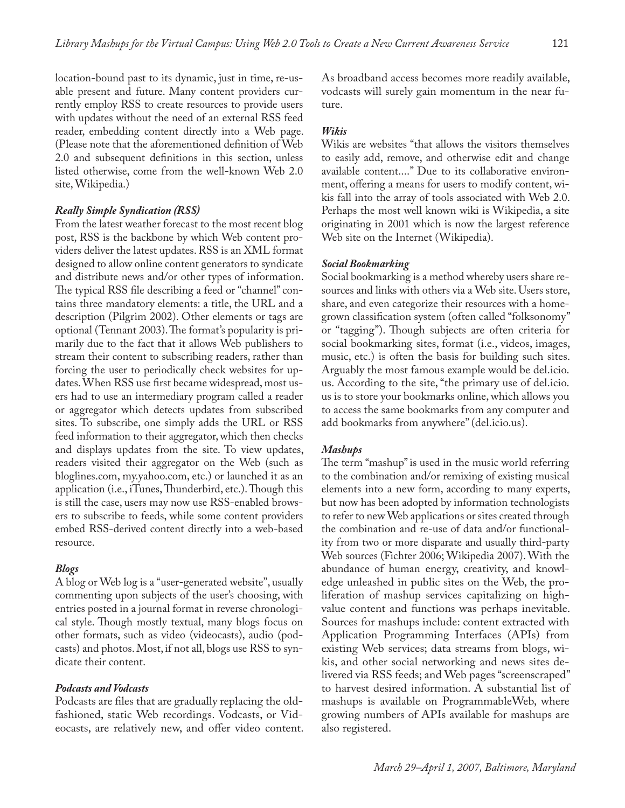location-bound past to its dynamic, just in time, re-usable present and future. Many content providers currently employ RSS to create resources to provide users with updates without the need of an external RSS feed reader, embedding content directly into a Web page. (Please note that the aforementioned definition of Web 2.0 and subsequent definitions in this section, unless listed otherwise, come from the well-known Web 2.0 site, Wikipedia.)

#### *Really Simple Syndication (RSS)*

From the latest weather forecast to the most recent blog post, RSS is the backbone by which Web content providers deliver the latest updates. RSS is an XML format designed to allow online content generators to syndicate and distribute news and/or other types of information. The typical RSS file describing a feed or "channel" contains three mandatory elements: a title, the URL and a description (Pilgrim 2002). Other elements or tags are optional (Tennant 2003). The format's popularity is primarily due to the fact that it allows Web publishers to stream their content to subscribing readers, rather than forcing the user to periodically check websites for updates. When RSS use first became widespread, most users had to use an intermediary program called a reader or aggregator which detects updates from subscribed sites. To subscribe, one simply adds the URL or RSS feed information to their aggregator, which then checks and displays updates from the site. To view updates, readers visited their aggregator on the Web (such as bloglines.com, my.yahoo.com, etc.) or launched it as an application (i.e., iTunes, Thunderbird, etc.). Though this is still the case, users may now use RSS-enabled browsers to subscribe to feeds, while some content providers embed RSS-derived content directly into a web-based resource.

#### *Blogs*

A blog or Web log is a "user-generated website", usually commenting upon subjects of the user's choosing, with entries posted in a journal format in reverse chronological style. Though mostly textual, many blogs focus on other formats, such as video (videocasts), audio (podcasts) and photos. Most, if not all, blogs use RSS to syndicate their content.

#### *Podcasts and Vodcasts*

Podcasts are files that are gradually replacing the oldfashioned, static Web recordings. Vodcasts, or Videocasts, are relatively new, and offer video content. As broadband access becomes more readily available, vodcasts will surely gain momentum in the near future.

#### *Wikis*

Wikis are websites "that allows the visitors themselves to easily add, remove, and otherwise edit and change available content...." Due to its collaborative environment, offering a means for users to modify content, wikis fall into the array of tools associated with Web 2.0. Perhaps the most well known wiki is Wikipedia, a site originating in 2001 which is now the largest reference Web site on the Internet (Wikipedia).

#### *Social Bookmarking*

Social bookmarking is a method whereby users share resources and links with others via a Web site. Users store, share, and even categorize their resources with a homegrown classification system (often called "folksonomy" or "tagging"). Though subjects are often criteria for social bookmarking sites, format (i.e., videos, images, music, etc.) is often the basis for building such sites. Arguably the most famous example would be del.icio. us. According to the site, "the primary use of del.icio. us is to store your bookmarks online, which allows you to access the same bookmarks from any computer and add bookmarks from anywhere" (del.icio.us).

#### *Mashups*

The term "mashup" is used in the music world referring to the combination and/or remixing of existing musical elements into a new form, according to many experts, but now has been adopted by information technologists to refer to new Web applications or sites created through the combination and re-use of data and/or functionality from two or more disparate and usually third-party Web sources (Fichter 2006; Wikipedia 2007). With the abundance of human energy, creativity, and knowledge unleashed in public sites on the Web, the proliferation of mashup services capitalizing on highvalue content and functions was perhaps inevitable. Sources for mashups include: content extracted with Application Programming Interfaces (APIs) from existing Web services; data streams from blogs, wikis, and other social networking and news sites delivered via RSS feeds; and Web pages "screenscraped" to harvest desired information. A substantial list of mashups is available on ProgrammableWeb, where growing numbers of APIs available for mashups are also registered.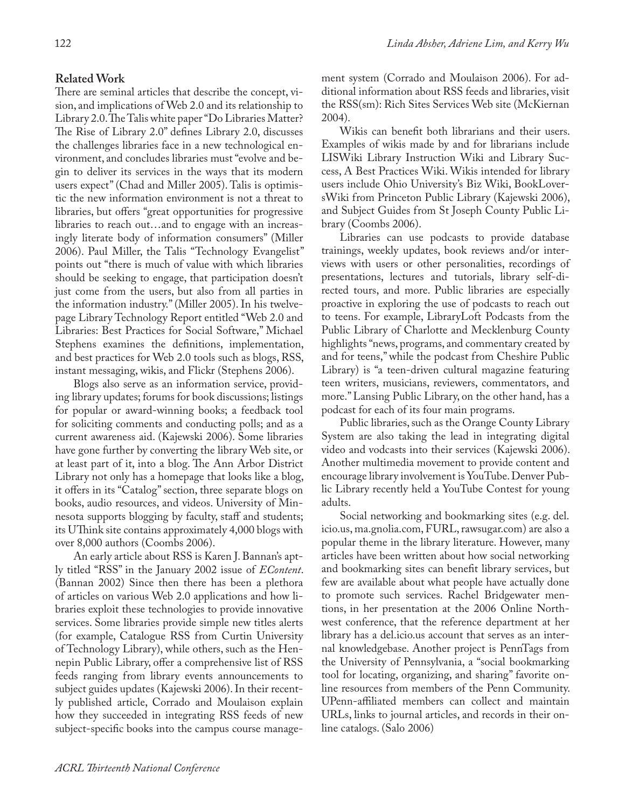There are seminal articles that describe the concept, vision, and implications of Web 2.0 and its relationship to Library 2.0. The Talis white paper "Do Libraries Matter? The Rise of Library 2.0" defines Library 2.0, discusses the challenges libraries face in a new technological environment, and concludes libraries must "evolve and begin to deliver its services in the ways that its modern users expect" (Chad and Miller 2005). Talis is optimistic the new information environment is not a threat to libraries, but offers "great opportunities for progressive libraries to reach out…and to engage with an increasingly literate body of information consumers" (Miller 2006). Paul Miller, the Talis "Technology Evangelist" points out "there is much of value with which libraries should be seeking to engage, that participation doesn't just come from the users, but also from all parties in the information industry." (Miller 2005). In his twelvepage Library Technology Report entitled "Web 2.0 and Libraries: Best Practices for Social Software," Michael Stephens examines the definitions, implementation, and best practices for Web 2.0 tools such as blogs, RSS, instant messaging, wikis, and Flickr (Stephens 2006).

Blogs also serve as an information service, providing library updates; forums for book discussions; listings for popular or award-winning books; a feedback tool for soliciting comments and conducting polls; and as a current awareness aid. (Kajewski 2006). Some libraries have gone further by converting the library Web site, or at least part of it, into a blog. The Ann Arbor District Library not only has a homepage that looks like a blog, it offers in its "Catalog" section, three separate blogs on books, audio resources, and videos. University of Minnesota supports blogging by faculty, staff and students; its UThink site contains approximately 4,000 blogs with over 8,000 authors (Coombs 2006).

An early article about RSS is Karen J. Bannan's aptly titled "RSS" in the January 2002 issue of *EContent*. (Bannan 2002) Since then there has been a plethora of articles on various Web 2.0 applications and how libraries exploit these technologies to provide innovative services. Some libraries provide simple new titles alerts (for example, Catalogue RSS from Curtin University of Technology Library), while others, such as the Hennepin Public Library, offer a comprehensive list of RSS feeds ranging from library events announcements to subject guides updates (Kajewski 2006). In their recently published article, Corrado and Moulaison explain how they succeeded in integrating RSS feeds of new subject-specific books into the campus course management system (Corrado and Moulaison 2006). For additional information about RSS feeds and libraries, visit the RSS(sm): Rich Sites Services Web site (McKiernan 2004).

Wikis can benefit both librarians and their users. Examples of wikis made by and for librarians include LISWiki Library Instruction Wiki and Library Success, A Best Practices Wiki. Wikis intended for library users include Ohio University's Biz Wiki, BookLoversWiki from Princeton Public Library (Kajewski 2006), and Subject Guides from St Joseph County Public Library (Coombs 2006).

Libraries can use podcasts to provide database trainings, weekly updates, book reviews and/or interviews with users or other personalities, recordings of presentations, lectures and tutorials, library self-directed tours, and more. Public libraries are especially proactive in exploring the use of podcasts to reach out to teens. For example, LibraryLoft Podcasts from the Public Library of Charlotte and Mecklenburg County highlights "news, programs, and commentary created by and for teens," while the podcast from Cheshire Public Library) is "a teen-driven cultural magazine featuring teen writers, musicians, reviewers, commentators, and more." Lansing Public Library, on the other hand, has a podcast for each of its four main programs.

Public libraries, such as the Orange County Library System are also taking the lead in integrating digital video and vodcasts into their services (Kajewski 2006). Another multimedia movement to provide content and encourage library involvement is YouTube. Denver Public Library recently held a YouTube Contest for young adults.

Social networking and bookmarking sites (e.g. del. icio.us, ma.gnolia.com, FURL, rawsugar.com) are also a popular theme in the library literature. However, many articles have been written about how social networking and bookmarking sites can benefit library services, but few are available about what people have actually done to promote such services. Rachel Bridgewater mentions, in her presentation at the 2006 Online Northwest conference, that the reference department at her library has a del.icio.us account that serves as an internal knowledgebase. Another project is PennTags from the University of Pennsylvania, a "social bookmarking tool for locating, organizing, and sharing" favorite online resources from members of the Penn Community. UPenn-affiliated members can collect and maintain URLs, links to journal articles, and records in their online catalogs. (Salo 2006)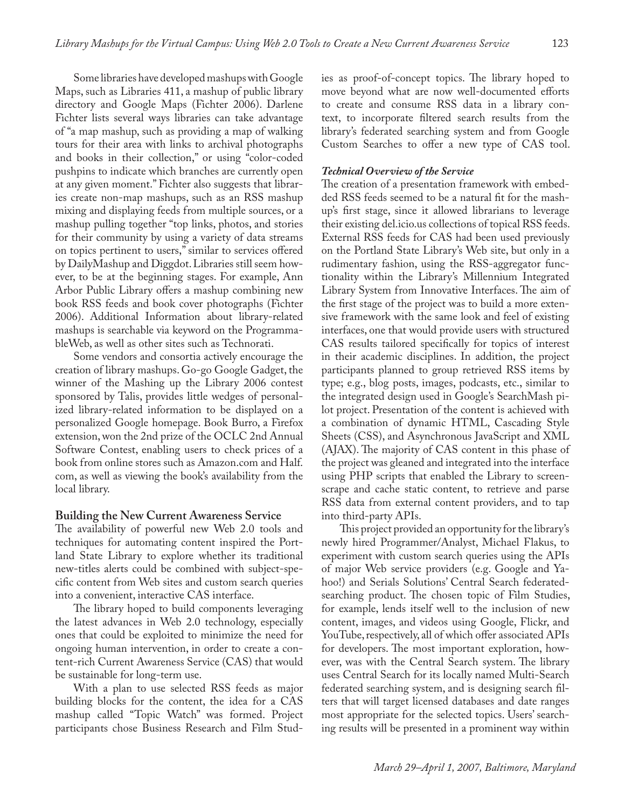Some libraries have developed mashups with Google Maps, such as Libraries 411, a mashup of public library directory and Google Maps (Fichter 2006). Darlene Fichter lists several ways libraries can take advantage of "a map mashup, such as providing a map of walking tours for their area with links to archival photographs and books in their collection," or using "color-coded pushpins to indicate which branches are currently open at any given moment." Fichter also suggests that libraries create non-map mashups, such as an RSS mashup mixing and displaying feeds from multiple sources, or a mashup pulling together "top links, photos, and stories for their community by using a variety of data streams on topics pertinent to users," similar to services offered by DailyMashup and Diggdot. Libraries still seem however, to be at the beginning stages. For example, Ann Arbor Public Library offers a mashup combining new book RSS feeds and book cover photographs (Fichter 2006). Additional Information about library-related mashups is searchable via keyword on the ProgrammableWeb, as well as other sites such as Technorati.

Some vendors and consortia actively encourage the creation of library mashups. Go-go Google Gadget, the winner of the Mashing up the Library 2006 contest sponsored by Talis, provides little wedges of personalized library-related information to be displayed on a personalized Google homepage. Book Burro, a Firefox extension, won the 2nd prize of the OCLC 2nd Annual Software Contest, enabling users to check prices of a book from online stores such as Amazon.com and Half. com, as well as viewing the book's availability from the local library.

#### **Building the New Current Awareness Service**

The availability of powerful new Web 2.0 tools and techniques for automating content inspired the Portland State Library to explore whether its traditional new-titles alerts could be combined with subject-specific content from Web sites and custom search queries into a convenient, interactive CAS interface.

The library hoped to build components leveraging the latest advances in Web 2.0 technology, especially ones that could be exploited to minimize the need for ongoing human intervention, in order to create a content-rich Current Awareness Service (CAS) that would be sustainable for long-term use.

With a plan to use selected RSS feeds as major building blocks for the content, the idea for a CAS mashup called "Topic Watch" was formed. Project participants chose Business Research and Film Studies as proof-of-concept topics. The library hoped to move beyond what are now well-documented efforts to create and consume RSS data in a library context, to incorporate filtered search results from the library's federated searching system and from Google Custom Searches to offer a new type of CAS tool.

#### *Technical Overview of the Service*

The creation of a presentation framework with embedded RSS feeds seemed to be a natural fit for the mashup's first stage, since it allowed librarians to leverage their existing del.icio.us collections of topical RSS feeds. External RSS feeds for CAS had been used previously on the Portland State Library's Web site, but only in a rudimentary fashion, using the RSS-aggregator functionality within the Library's Millennium Integrated Library System from Innovative Interfaces. The aim of the first stage of the project was to build a more extensive framework with the same look and feel of existing interfaces, one that would provide users with structured CAS results tailored specifically for topics of interest in their academic disciplines. In addition, the project participants planned to group retrieved RSS items by type; e.g., blog posts, images, podcasts, etc., similar to the integrated design used in Google's SearchMash pilot project. Presentation of the content is achieved with a combination of dynamic HTML, Cascading Style Sheets (CSS), and Asynchronous JavaScript and XML (AJAX). The majority of CAS content in this phase of the project was gleaned and integrated into the interface using PHP scripts that enabled the Library to screenscrape and cache static content, to retrieve and parse RSS data from external content providers, and to tap into third-party APIs.

This project provided an opportunity for the library's newly hired Programmer/Analyst, Michael Flakus, to experiment with custom search queries using the APIs of major Web service providers (e.g. Google and Yahoo!) and Serials Solutions' Central Search federatedsearching product. The chosen topic of Film Studies, for example, lends itself well to the inclusion of new content, images, and videos using Google, Flickr, and YouTube, respectively, all of which offer associated APIs for developers. The most important exploration, however, was with the Central Search system. The library uses Central Search for its locally named Multi-Search federated searching system, and is designing search filters that will target licensed databases and date ranges most appropriate for the selected topics. Users' searching results will be presented in a prominent way within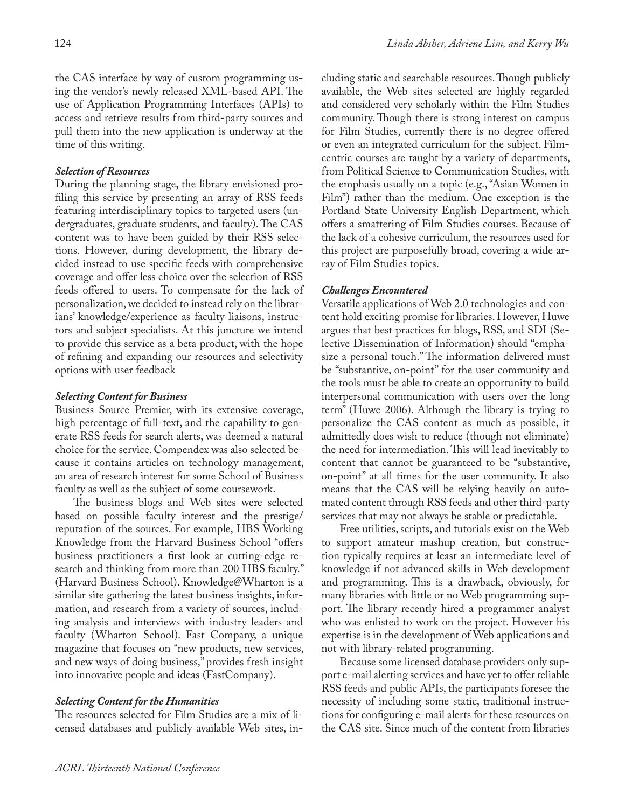## *Selection of Resources*

During the planning stage, the library envisioned profiling this service by presenting an array of RSS feeds featuring interdisciplinary topics to targeted users (undergraduates, graduate students, and faculty). The CAS content was to have been guided by their RSS selections. However, during development, the library decided instead to use specific feeds with comprehensive coverage and offer less choice over the selection of RSS feeds offered to users. To compensate for the lack of personalization, we decided to instead rely on the librarians' knowledge/experience as faculty liaisons, instructors and subject specialists. At this juncture we intend to provide this service as a beta product, with the hope of refining and expanding our resources and selectivity options with user feedback

#### *Selecting Content for Business*

Business Source Premier, with its extensive coverage, high percentage of full-text, and the capability to generate RSS feeds for search alerts, was deemed a natural choice for the service. Compendex was also selected because it contains articles on technology management, an area of research interest for some School of Business faculty as well as the subject of some coursework.

The business blogs and Web sites were selected based on possible faculty interest and the prestige/ reputation of the sources. For example, HBS Working Knowledge from the Harvard Business School "offers business practitioners a first look at cutting-edge research and thinking from more than 200 HBS faculty." (Harvard Business School). Knowledge@Wharton is a similar site gathering the latest business insights, information, and research from a variety of sources, including analysis and interviews with industry leaders and faculty (Wharton School). Fast Company, a unique magazine that focuses on "new products, new services, and new ways of doing business," provides fresh insight into innovative people and ideas (FastCompany).

# *Selecting Content for the Humanities*

The resources selected for Film Studies are a mix of licensed databases and publicly available Web sites, including static and searchable resources. Though publicly available, the Web sites selected are highly regarded and considered very scholarly within the Film Studies community. Though there is strong interest on campus for Film Studies, currently there is no degree offered or even an integrated curriculum for the subject. Filmcentric courses are taught by a variety of departments, from Political Science to Communication Studies, with the emphasis usually on a topic (e.g., "Asian Women in Film") rather than the medium. One exception is the Portland State University English Department, which offers a smattering of Film Studies courses. Because of the lack of a cohesive curriculum, the resources used for this project are purposefully broad, covering a wide array of Film Studies topics.

## *Challenges Encountered*

Versatile applications of Web 2.0 technologies and content hold exciting promise for libraries. However, Huwe argues that best practices for blogs, RSS, and SDI (Selective Dissemination of Information) should "emphasize a personal touch." The information delivered must be "substantive, on-point" for the user community and the tools must be able to create an opportunity to build interpersonal communication with users over the long term" (Huwe 2006). Although the library is trying to personalize the CAS content as much as possible, it admittedly does wish to reduce (though not eliminate) the need for intermediation. This will lead inevitably to content that cannot be guaranteed to be "substantive, on-point" at all times for the user community. It also means that the CAS will be relying heavily on automated content through RSS feeds and other third-party services that may not always be stable or predictable.

Free utilities, scripts, and tutorials exist on the Web to support amateur mashup creation, but construction typically requires at least an intermediate level of knowledge if not advanced skills in Web development and programming. This is a drawback, obviously, for many libraries with little or no Web programming support. The library recently hired a programmer analyst who was enlisted to work on the project. However his expertise is in the development of Web applications and not with library-related programming.

Because some licensed database providers only support e-mail alerting services and have yet to offer reliable RSS feeds and public APIs, the participants foresee the necessity of including some static, traditional instructions for configuring e-mail alerts for these resources on the CAS site. Since much of the content from libraries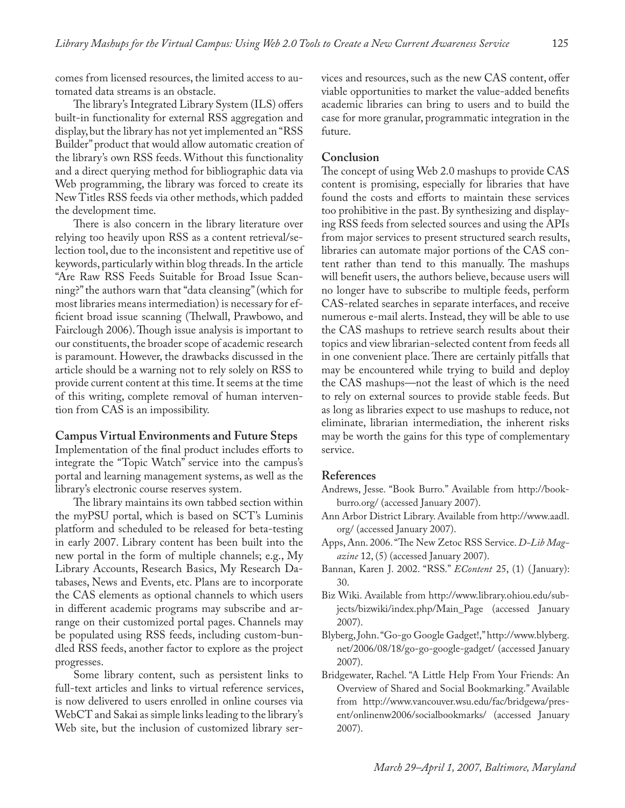comes from licensed resources, the limited access to automated data streams is an obstacle.

The library's Integrated Library System (ILS) offers built-in functionality for external RSS aggregation and display, but the library has not yet implemented an "RSS Builder" product that would allow automatic creation of the library's own RSS feeds. Without this functionality and a direct querying method for bibliographic data via Web programming, the library was forced to create its New Titles RSS feeds via other methods, which padded the development time.

There is also concern in the library literature over relying too heavily upon RSS as a content retrieval/selection tool, due to the inconsistent and repetitive use of keywords, particularly within blog threads. In the article "Are Raw RSS Feeds Suitable for Broad Issue Scanning?" the authors warn that "data cleansing" (which for most libraries means intermediation) is necessary for efficient broad issue scanning (Thelwall, Prawbowo, and Fairclough 2006). Though issue analysis is important to our constituents, the broader scope of academic research is paramount. However, the drawbacks discussed in the article should be a warning not to rely solely on RSS to provide current content at this time. It seems at the time of this writing, complete removal of human intervention from CAS is an impossibility.

#### **Campus Virtual Environments and Future Steps**

Implementation of the final product includes efforts to integrate the "Topic Watch" service into the campus's portal and learning management systems, as well as the library's electronic course reserves system.

The library maintains its own tabbed section within the myPSU portal, which is based on SCT's Luminis platform and scheduled to be released for beta-testing in early 2007. Library content has been built into the new portal in the form of multiple channels; e.g., My Library Accounts, Research Basics, My Research Databases, News and Events, etc. Plans are to incorporate the CAS elements as optional channels to which users in different academic programs may subscribe and arrange on their customized portal pages. Channels may be populated using RSS feeds, including custom-bundled RSS feeds, another factor to explore as the project progresses.

Some library content, such as persistent links to full-text articles and links to virtual reference services, is now delivered to users enrolled in online courses via WebCT and Sakai as simple links leading to the library's Web site, but the inclusion of customized library services and resources, such as the new CAS content, offer viable opportunities to market the value-added benefits academic libraries can bring to users and to build the case for more granular, programmatic integration in the future.

#### **Conclusion**

The concept of using Web 2.0 mashups to provide CAS content is promising, especially for libraries that have found the costs and efforts to maintain these services too prohibitive in the past. By synthesizing and displaying RSS feeds from selected sources and using the APIs from major services to present structured search results, libraries can automate major portions of the CAS content rather than tend to this manually. The mashups will benefit users, the authors believe, because users will no longer have to subscribe to multiple feeds, perform CAS-related searches in separate interfaces, and receive numerous e-mail alerts. Instead, they will be able to use the CAS mashups to retrieve search results about their topics and view librarian-selected content from feeds all in one convenient place. There are certainly pitfalls that may be encountered while trying to build and deploy the CAS mashups—not the least of which is the need to rely on external sources to provide stable feeds. But as long as libraries expect to use mashups to reduce, not eliminate, librarian intermediation, the inherent risks may be worth the gains for this type of complementary service.

#### **References**

- Andrews, Jesse. "Book Burro." Available from http://bookburro.org/ (accessed January 2007).
- Ann Arbor District Library. Available from http://www.aadl. org/ (accessed January 2007).
- Apps, Ann. 2006. "The New Zetoc RSS Service. *D-Lib Magazine* 12, (5) (accessed January 2007).
- Bannan, Karen J. 2002. "RSS." *EContent* 25, (1) ( January): 30.
- Biz Wiki. Available from http://www.library.ohiou.edu/subjects/bizwiki/index.php/Main\_Page (accessed January 2007).
- Blyberg, John. "Go-go Google Gadget!," http://www.blyberg. net/2006/08/18/go-go-google-gadget/ (accessed January 2007).
- Bridgewater, Rachel. "A Little Help From Your Friends: An Overview of Shared and Social Bookmarking." Available from http://www.vancouver.wsu.edu/fac/bridgewa/present/onlinenw2006/socialbookmarks/ (accessed January 2007).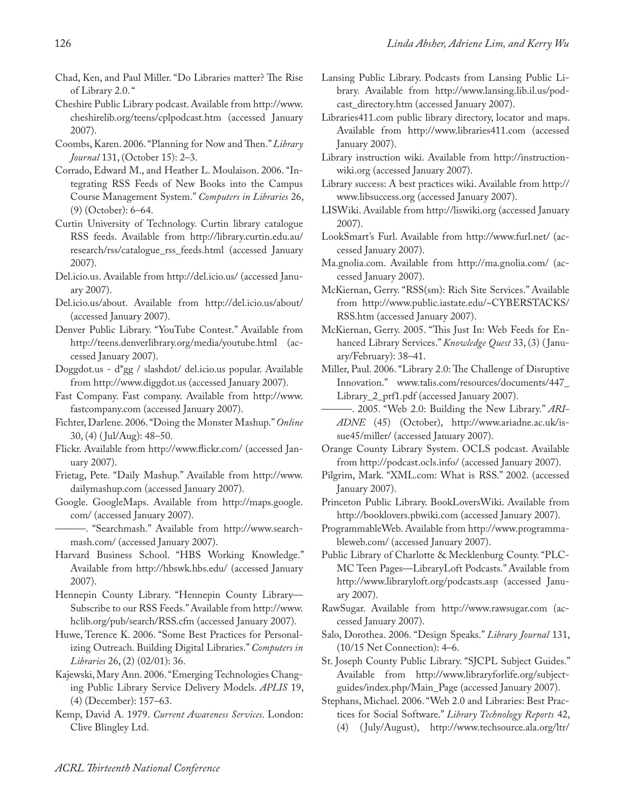- Chad, Ken, and Paul Miller. "Do Libraries matter? The Rise of Library 2.0. "
- Cheshire Public Library podcast. Available from http://www. cheshirelib.org/teens/cplpodcast.htm (accessed January 2007).
- Coombs, Karen. 2006. "Planning for Now and Then." *Library Journal* 131, (October 15): 2–3.
- Corrado, Edward M., and Heather L. Moulaison. 2006. "Integrating RSS Feeds of New Books into the Campus Course Management System." *Computers in Libraries* 26, (9) (October): 6–64.
- Curtin University of Technology. Curtin library catalogue RSS feeds. Available from http://library.curtin.edu.au/ research/rss/catalogue\_rss\_feeds.html (accessed January 2007).
- Del.icio.us. Available from http://del.icio.us/ (accessed January 2007).
- Del.icio.us/about. Available from http://del.icio.us/about/ (accessed January 2007).
- Denver Public Library. "YouTube Contest." Available from http://teens.denverlibrary.org/media/youtube.html (accessed January 2007).
- Doggdot.us d\*gg / slashdot/ del.icio.us popular. Available from http://www.diggdot.us (accessed January 2007).
- Fast Company. Fast company. Available from http://www. fastcompany.com (accessed January 2007).
- Fichter, Darlene. 2006. "Doing the Monster Mashup." *Online* 30, (4) ( Jul/Aug): 48–50.
- Flickr. Available from http://www.flickr.com/ (accessed January 2007).
- Frietag, Pete. "Daily Mashup." Available from http://www. dailymashup.com (accessed January 2007).
- Google. GoogleMaps. Available from http://maps.google. com/ (accessed January 2007).
- ———. "Searchmash." Available from http://www.searchmash.com/ (accessed January 2007).
- Harvard Business School. "HBS Working Knowledge." Available from http://hbswk.hbs.edu/ (accessed January 2007).
- Hennepin County Library. "Hennepin County Library— Subscribe to our RSS Feeds." Available from http://www. hclib.org/pub/search/RSS.cfm (accessed January 2007).
- Huwe, Terence K. 2006. "Some Best Practices for Personalizing Outreach. Building Digital Libraries." *Computers in Libraries* 26, (2) (02/01): 36.
- Kajewski, Mary Ann. 2006. "Emerging Technologies Changing Public Library Service Delivery Models. *APLIS* 19, (4) (December): 157–63.
- Kemp, David A. 1979. *Current Awareness Services*. London: Clive Blingley Ltd.
- Lansing Public Library. Podcasts from Lansing Public Library. Available from http://www.lansing.lib.il.us/podcast\_directory.htm (accessed January 2007).
- Libraries411.com public library directory, locator and maps. Available from http://www.libraries411.com (accessed January 2007).
- Library instruction wiki. Available from http://instructionwiki.org (accessed January 2007).
- Library success: A best practices wiki. Available from http:// www.libsuccess.org (accessed January 2007).
- LISWiki. Available from http://liswiki.org (accessed January 2007).
- LookSmart's Furl. Available from http://www.furl.net/ (accessed January 2007).
- Ma.gnolia.com. Available from http://ma.gnolia.com/ (accessed January 2007).
- McKiernan, Gerry. "RSS(sm): Rich Site Services." Available from http://www.public.iastate.edu/~CYBERSTACKS/ RSS.htm (accessed January 2007).
- McKiernan, Gerry. 2005. "This Just In: Web Feeds for Enhanced Library Services." *Knowledge Quest* 33, (3) ( January/February): 38–41.
- Miller, Paul. 2006. "Library 2.0: The Challenge of Disruptive Innovation." www.talis.com/resources/documents/447\_ Library\_2\_prf1.pdf (accessed January 2007).
- -. 2005. "Web 2.0: Building the New Library." ARI-*ADNE* (45) (October), http://www.ariadne.ac.uk/issue45/miller/ (accessed January 2007).
- Orange County Library System. OCLS podcast. Available from http://podcast.ocls.info/ (accessed January 2007).
- Pilgrim, Mark. "XML.com: What is RSS." 2002. (accessed January 2007).
- Princeton Public Library. BookLoversWiki. Available from http://booklovers.pbwiki.com (accessed January 2007).
- ProgrammableWeb. Available from http://www.programmableweb.com/ (accessed January 2007).
- Public Library of Charlotte & Mecklenburg County. "PLC-MC Teen Pages—LibraryLoft Podcasts." Available from http://www.libraryloft.org/podcasts.asp (accessed January 2007).
- RawSugar. Available from http://www.rawsugar.com (accessed January 2007).
- Salo, Dorothea. 2006. "Design Speaks." *Library Journal* 131, (10/15 Net Connection): 4–6.
- St. Joseph County Public Library. "SJCPL Subject Guides." Available from http://www.libraryforlife.org/subjectguides/index.php/Main\_Page (accessed January 2007).
- Stephans, Michael. 2006. "Web 2.0 and Libraries: Best Practices for Social Software." *Library Technology Reports* 42,
	- (4) ( July/August), http://www.techsource.ala.org/ltr/